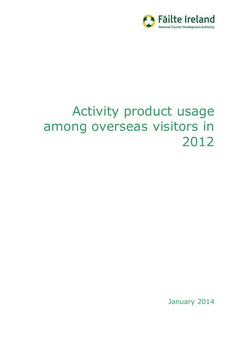

# Activity product usage among overseas visitors in 2012

January 2014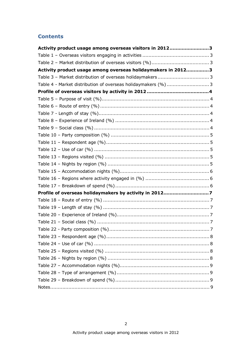#### **Contents**

| Activity product usage among overseas visitors in 20123      |  |
|--------------------------------------------------------------|--|
|                                                              |  |
|                                                              |  |
| Activity product usage among overseas holidaymakers in 20123 |  |
|                                                              |  |
| Table 4 - Market distribution of overseas holidaymakers (%)3 |  |
|                                                              |  |
|                                                              |  |
|                                                              |  |
|                                                              |  |
|                                                              |  |
|                                                              |  |
|                                                              |  |
|                                                              |  |
|                                                              |  |
|                                                              |  |
|                                                              |  |
|                                                              |  |
|                                                              |  |
|                                                              |  |
| Profile of overseas holidaymakers by activity in 20127       |  |
|                                                              |  |
|                                                              |  |
|                                                              |  |
|                                                              |  |
|                                                              |  |
|                                                              |  |
|                                                              |  |
|                                                              |  |
|                                                              |  |
|                                                              |  |
|                                                              |  |
|                                                              |  |
|                                                              |  |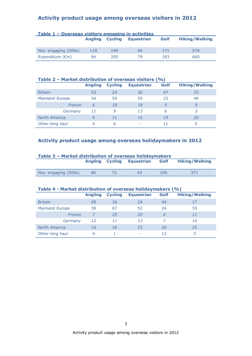#### **Activity product usage among overseas visitors in 2012**

| <u> Table 1 – Overseas visitors engaging in activities</u> |                        |     |            |      |                       |  |  |  |  |
|------------------------------------------------------------|------------------------|-----|------------|------|-----------------------|--|--|--|--|
|                                                            | <b>Angling Cycling</b> |     | Equestrian | Golf | <b>Hiking/Walking</b> |  |  |  |  |
| Nos. engaging (000s)                                       | 118                    | 149 | 66.        | 171  | 578                   |  |  |  |  |
| Expenditure $(\epsilon m)$                                 | 94                     | 200 | 79.        | 183  | 660                   |  |  |  |  |

#### **Table 2 – Market distribution of overseas visitors (%)**

|                        | <b>Angling</b> | <b>Cycling</b> | <b>Equestrian</b> | Golf | <b>Hiking/Walking</b> |
|------------------------|----------------|----------------|-------------------|------|-----------------------|
| <b>Britain</b>         | 53             | 24             | 30                | 47   | 25                    |
| <b>Mainland Europe</b> | 34             | 59             | 55                | 23   | 49                    |
| France                 | 6              | 18             | 18                |      | 9                     |
| Germany                | 11             | 9              | 13                | 6    | 3                     |
| North America          |                | 11             | 15                | 19   | 20                    |
| Other long haul        |                | 6              | ۰                 |      | ר                     |

#### **Activity product usage among overseas holidaymakers in 2012**

| Table 3 - Market distribution of overseas holidaymakers |    |                        |            |      |                       |  |  |  |
|---------------------------------------------------------|----|------------------------|------------|------|-----------------------|--|--|--|
|                                                         |    | <b>Angling Cycling</b> | Equestrian | Golf | <b>Hiking/Walking</b> |  |  |  |
|                                                         |    |                        |            |      |                       |  |  |  |
| Nos. engaging (000s)                                    | 86 | -73                    | 43         | 106  | 371                   |  |  |  |

#### **Table 4 - Market distribution of overseas holidaymakers (%)**

|                        | <b>Angling</b> | <b>Cycling</b> | <b>Equestrian</b> | Golf           | <b>Hiking/Walking</b> |
|------------------------|----------------|----------------|-------------------|----------------|-----------------------|
| <b>Britain</b>         | 49             | 16             | 24                | 44             | 17                    |
| <b>Mainland Europe</b> | 38             | 67             | 52                | 24             | 55                    |
| France                 |                | 25             | 20                | $\overline{4}$ | 11                    |
| Germany                | 12             | 11             | 13                |                | 16                    |
| North America          | 10             | 16             | 23                | 20             | 25                    |
| Other long haul        | 4              |                |                   | 13             | 3                     |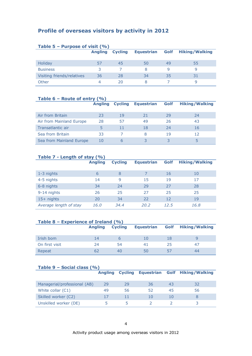#### **Profile of overseas visitors by activity in 2012**

| Table 5 – Purpose of visit $(% )$ |                |                |                   |      |                       |  |  |  |
|-----------------------------------|----------------|----------------|-------------------|------|-----------------------|--|--|--|
|                                   | <b>Angling</b> | <b>Cycling</b> | <b>Equestrian</b> | Golf | <b>Hiking/Walking</b> |  |  |  |
|                                   |                |                |                   |      |                       |  |  |  |
| Holiday                           | 57             | 45             | 50                | 49   | 55                    |  |  |  |
| <b>Business</b>                   | 3              |                | 8                 | q    | q                     |  |  |  |
| Visiting friends/relatives        | 36             | 28             | 34                | 35   | 31                    |  |  |  |
| Other                             | 4              | 20             |                   |      |                       |  |  |  |

#### **Table 6 – Route of entry (%)**

|                          | <b>Angling</b> | <b>Cycling</b> | <b>Equestrian</b> | Golf | <b>Hiking/Walking</b> |
|--------------------------|----------------|----------------|-------------------|------|-----------------------|
|                          |                |                |                   |      |                       |
| Air from Britain         | 23             | 19             | 21                | 29   | 24                    |
| Air from Mainland Europe | 28             | 57             | 49                | 26   | 43                    |
| Transatlantic air        |                | 11             | 18                | 24   | 16                    |
| Sea from Britain         | 33             |                | 8                 | 19   | 12                    |
| Sea from Mainland Europe | 10             | h              |                   |      |                       |

#### **Table 7 - Length of stay (%)**

| $\sim$                 | <b>Angling</b> | <b>Cycling</b> | <b>Equestrian</b> | Golf | <b>Hiking/Walking</b> |
|------------------------|----------------|----------------|-------------------|------|-----------------------|
| 1-3 nights             | 6              | 8              |                   | 16   | 10                    |
| 4-5 nights             | 14             | 9              | 15                | 19   | 17                    |
| 6-8 nights             | 34             | 24             | 29                | 27   | 28                    |
| 9-14 nights            | 26             | 25             | 27                | 25   | 25                    |
| $15+$ nights           | 20             | 34             | 22                | 12   | 19                    |
| Average length of stay | 16.0           | 34.4           | 20.2              | 12.5 | 16.8                  |

#### **Table 8 – Experience of Ireland (%)**

|                | <b>Angling</b> | <b>Cycling</b> | <b>Equestrian</b> |          | <b>Golf</b> Hiking/Walking |
|----------------|----------------|----------------|-------------------|----------|----------------------------|
| Irish born     | 14             |                |                   | 18       |                            |
| On first visit | 24             | 54             | 41                | 25       | 47                         |
| Repeat         |                | 40             | 50                | $\sim$ / | 44                         |

#### **Table 9 – Social class (%)**

|                              | <b>Angling</b> | <b>Cycling</b> |    |    | <b>Equestrian Golf Hiking/Walking</b> |
|------------------------------|----------------|----------------|----|----|---------------------------------------|
| Managerial/professional (AB) | 29             | 29             | 36 | 43 | 32                                    |
| White collar (C1)            | 49             | 56             | 52 | 45 | 56                                    |
| Skilled worker (C2)          | 17             | 11             | 10 | 10 |                                       |
| Unskilled worker (DE)        |                |                |    |    |                                       |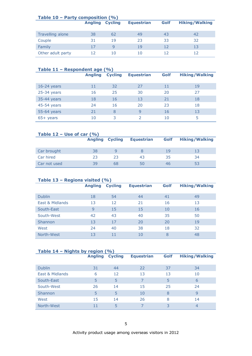| Table $10$ – Party composition (%) |                |                |                   |      |                       |  |  |  |
|------------------------------------|----------------|----------------|-------------------|------|-----------------------|--|--|--|
|                                    | <b>Angling</b> | <b>Cycling</b> | <b>Equestrian</b> | Golf | <b>Hiking/Walking</b> |  |  |  |
|                                    |                |                |                   |      |                       |  |  |  |
| Travelling alone                   | 38             | 62             | 49                | 43   | 42                    |  |  |  |
| Couple                             | 31             | 19             | 23                | 33   | 32                    |  |  |  |
| Family                             | 17             | 9              | 19                | 12   | 13                    |  |  |  |
| Other adult party                  | 12             | 10             | 10                | 12   |                       |  |  |  |

| Table $11$ – Respondent age (%) |                |                |                   |      |                       |  |  |  |
|---------------------------------|----------------|----------------|-------------------|------|-----------------------|--|--|--|
|                                 | <b>Angling</b> | <b>Cycling</b> | <b>Equestrian</b> | Golf | <b>Hiking/Walking</b> |  |  |  |
|                                 |                |                |                   |      |                       |  |  |  |
| $16-24$ years                   | 11             | 32             | 27                | 11   | 19                    |  |  |  |
| $25-34$ years                   | 16             | 25             | 30                | 20   | 27                    |  |  |  |
| 35-44 years                     | 18             | 16             | 13                | 21   | 18                    |  |  |  |
| 45-54 years                     | 24             | 16             | 20                | 23   | 18                    |  |  |  |
| 55-64 years                     | 21             | 8              | 9                 | 16   | 13                    |  |  |  |
| $65+$ years                     | 10             | 3              | 2                 | 10   | 5                     |  |  |  |

| Table $12 -$ Use of car $(%$ |                        |    |                   |      |                       |  |  |  |  |
|------------------------------|------------------------|----|-------------------|------|-----------------------|--|--|--|--|
|                              | <b>Angling Cycling</b> |    | <b>Equestrian</b> | Golf | <b>Hiking/Walking</b> |  |  |  |  |
|                              |                        |    |                   |      |                       |  |  |  |  |
| Car brought                  | 38                     |    |                   | 19   | 13                    |  |  |  |  |
| Car hired                    | 23                     | 23 | 43                | 35   | 34                    |  |  |  |  |
| Car not used                 | 39                     | 68 | 50                | 46   | 53                    |  |  |  |  |

#### **Table 13 – Regions visited (%)**

| $\tilde{\phantom{a}}$ | <b>Angling</b> | <b>Cycling</b> | <b>Equestrian</b> | Golf | <b>Hiking/Walking</b> |
|-----------------------|----------------|----------------|-------------------|------|-----------------------|
| <b>Dublin</b>         | 18             | 54             | 44                | 41   | 49                    |
| East & Midlands       | 13             | 12             | 21                | 16   | 13                    |
| South-East            | 9              | 15             | 15                | 10   | 16                    |
| South-West            | 42             | 43             | 40                | 35   | 50                    |
| <b>Shannon</b>        | 13             | 17             | 20                | 20   | 19                    |
| West                  | 24             | 40             | 38                | 18   | 32                    |
| North-West            | 13             | 11             | 10                | 8    | 48                    |

#### **Table 14 – Nights by region (%)**

|                 | <b>Angling</b> | <b>Cycling</b> | <b>Equestrian</b> | <b>Golf</b> | <b>Hiking/Walking</b> |
|-----------------|----------------|----------------|-------------------|-------------|-----------------------|
|                 |                |                |                   |             |                       |
| <b>Dublin</b>   | 31             | 44             | 22                | 37          | 34                    |
| East & Midlands | 6              | 12             | 13                | 13          | 10                    |
| South-East      | 5              | 5              | 7                 | 5           | 6                     |
| South-West      | 26             | 14             | 15                | 25          | 24                    |
| Shannon         | 5              | 5              | 10                | 8           | 9                     |
| West            | 15             | 14             | 26                | 8           | 14                    |
| North-West      | 11             | 5              | 7                 | 3           | 4                     |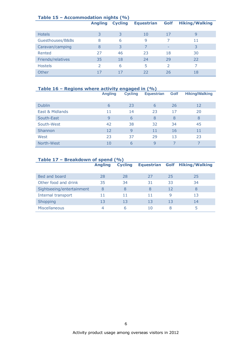| Table $15$ – Accommodation nights (%) |                |                |                   |               |                       |  |  |  |  |
|---------------------------------------|----------------|----------------|-------------------|---------------|-----------------------|--|--|--|--|
|                                       | <b>Angling</b> | <b>Cycling</b> | <b>Equestrian</b> | Golf          | <b>Hiking/Walking</b> |  |  |  |  |
|                                       |                |                |                   |               |                       |  |  |  |  |
| <b>Hotels</b>                         | 3              | 3              | 10                | 17            | 9                     |  |  |  |  |
| Guesthouses/B&Bs                      | 8              | 6              | 9                 |               | 11                    |  |  |  |  |
| Caravan/camping                       | 8              | 3              |                   | -             | 3                     |  |  |  |  |
| Rented                                | 27             | 46             | 23                | 18            | 30                    |  |  |  |  |
| Friends/relatives                     | 35             | 18             | 24                | 29            | 22                    |  |  |  |  |
| <b>Hostels</b>                        | $\mathcal{P}$  | 6              | 5                 | $\mathcal{P}$ |                       |  |  |  |  |
| Other                                 | 17             |                | 22                | 26            | 18                    |  |  |  |  |

#### **Table 16 – Regions where activity engaged in (%)**

|                 | <b>Angling</b> | <b>Cycling</b> | <b>Equestrian</b> | <b>Golf</b> | <b>Hiking/Walking</b> |
|-----------------|----------------|----------------|-------------------|-------------|-----------------------|
|                 |                |                |                   |             |                       |
| <b>Dublin</b>   | 6              | 23             | 6                 | 26          | 12                    |
| East & Midlands | 11             | 14             | 23                | 17          | 20                    |
| South-East      | 9              | 6              | 8                 | 8           | 8                     |
| South-West      | 42             | 38             | 32                | 34          | 45                    |
| Shannon         | 12             | 9              | 11                | 16          | 11                    |
| West            | 23             | 37             | 29                | 13          | 23                    |
| North-West      | 10             | 6              | $\mathsf{Q}$      |             |                       |

#### **Table 17 – Breakdown of spend (%)**

|                           | <b>Angling</b> | <b>Cycling</b> | <b>Equestrian</b> |    | <b>Golf</b> Hiking/Walking |
|---------------------------|----------------|----------------|-------------------|----|----------------------------|
|                           |                |                |                   |    |                            |
| Bed and board             | 28             | 28             | 27                | 25 | 25                         |
| Other food and drink      | 35             | 34             | 31                | 33 | 34                         |
| Sightseeing/entertainment | 8              | 8              | 8                 | 12 | 8                          |
| Internal transport        | 11             | 11             | 11                | 9  | 13                         |
| Shopping                  | 13             | 13             | 13                | 13 | 14                         |
| <b>Miscellaneous</b>      | 4              | 6              | 10                | 8  |                            |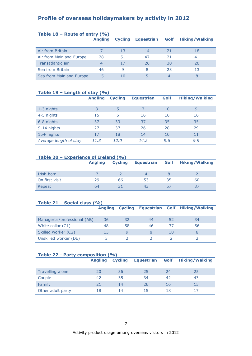#### **Profile of overseas holidaymakers by activity in 2012**

| Table $18$ – Route of entry $(96)$ |                |                |                   |      |                       |
|------------------------------------|----------------|----------------|-------------------|------|-----------------------|
|                                    | <b>Angling</b> | <b>Cycling</b> | <b>Equestrian</b> | Golf | <b>Hiking/Walking</b> |
|                                    |                |                |                   |      |                       |
| Air from Britain                   |                | 13             | 14                | 21   | 18                    |
| Air from Mainland Europe           | 28             | 51             | 47                | 21   | 41                    |
| Transatlantic air                  | 4              | 17             | 26                | 30   | 20                    |
| Sea from Britain                   | 46             | 9              | 8                 | 23   | 13                    |
| Sea from Mainland Europe           | 15             | 10             |                   | 4    |                       |

#### **Table 19 – Length of stay (%)**

|                        | <b>Angling</b> | -<br><b>Cycling</b> | <b>Equestrian</b> | Golf | <b>Hiking/Walking</b> |
|------------------------|----------------|---------------------|-------------------|------|-----------------------|
| 1-3 nights             |                | 5                   |                   | 10   | 9                     |
| 4-5 nights             | 15             | 6                   | 16                | 16   | 16                    |
| 6-8 nights             | 37             | 33                  | 37                | 35   | 35                    |
| 9-14 nights            | 27             | 37                  | 26                | 28   | 29                    |
| $15+$ nights           | 17             | 18                  | 14                | 10   | 11                    |
| Average length of stay | 11.3           | 12.0                | 14.2              | 9.6  | 9.9                   |

#### **Table 20 – Experience of Ireland (%)**

|                | <b>Angling</b> | <b>Cycling</b> | <b>Equestrian</b> |    | <b>Golf Hiking/Walking</b> |
|----------------|----------------|----------------|-------------------|----|----------------------------|
| Irish born     |                |                | $\Delta$          |    |                            |
| On first visit | 29             | 66             | 53                | 35 | 60                         |
| Repeat         | 64             |                | 43                | 57 |                            |

#### **Table 21 – Social class (%)**

|                              | <b>Angling</b> | <b>Cycling</b> |    |     | <b>Equestrian Golf Hiking/Walking</b> |
|------------------------------|----------------|----------------|----|-----|---------------------------------------|
|                              |                |                |    |     |                                       |
| Managerial/professional (AB) | 36             | 32             | 44 | 52  | 34                                    |
| White collar $(C1)$          | 48             | 58             | 46 | 37  | 56                                    |
| Skilled worker (C2)          | 13             |                |    | 1 O |                                       |
| Unskilled worker (DE)        |                |                |    |     |                                       |

### **Table 22 - Party composition (%) Angling Cycling Equestrian Golf Hiking/Walking** Travelling alone 20 25 25 24 25 Couple 42 35 34 42 43 Family 21 14 26 16 15 Other adult party 18 14 15 18 17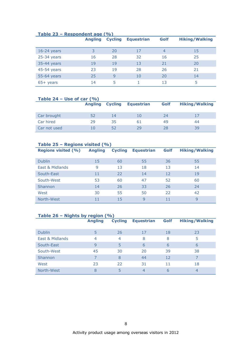| <u> Table 49 – Respondent aug 1707</u> | <b>Angling</b> | <b>Cycling</b> | <b>Equestrian</b> | Golf | <b>Hiking/Walking</b> |
|----------------------------------------|----------------|----------------|-------------------|------|-----------------------|
| $16-24$ years                          |                | 20             | 17                | 4    | 15                    |
| $25-34$ years                          | 16             | 28             | 32                | 16   | 25                    |
| 35-44 years                            | 19             | 19             | 13                | 21   | 20                    |
| 45-54 years                            | 23             | 19             | 28                | 26   | 21                    |
| 55-64 years                            | 25             | 9              | 10                | 20   | 14                    |
| $65+$ years                            | 14             | 5              |                   | 13   | 5                     |

#### **Table 23 – Respondent age (%)**

| Table 24 – Use of car $(%$ |                |                |                   |      |                       |  |  |  |  |
|----------------------------|----------------|----------------|-------------------|------|-----------------------|--|--|--|--|
|                            | <b>Angling</b> | <b>Cycling</b> | <b>Equestrian</b> | Golf | <b>Hiking/Walking</b> |  |  |  |  |
|                            |                |                |                   |      |                       |  |  |  |  |
| Car brought                | 52             | 14             | 1 ()              | 24   |                       |  |  |  |  |
| Car hired                  | 29             | 35             | 61                | 49   | 44                    |  |  |  |  |
| Car not used               | 10             | 52             | 29                | 28   | 39                    |  |  |  |  |

|  | Table 25 – Regions visited $(% )$ |                |                |                   |      |                       |
|--|-----------------------------------|----------------|----------------|-------------------|------|-----------------------|
|  | <b>Regions visited (%)</b>        | <b>Angling</b> | <b>Cycling</b> | <b>Equestrian</b> | Golf | <b>Hiking/Walking</b> |
|  |                                   |                |                |                   |      |                       |
|  | <b>Dublin</b>                     | 15             | 60             | 55                | 36   | 55                    |
|  | East & Midlands                   | 9              | 13             | 18                | 13   | 14                    |
|  | South-East                        | 11             | 22             | 14                | 12   | 19                    |
|  | South-West                        | 53             | 60             | 47                | 52   | 60                    |
|  | Shannon                           | 14             | 26             | 33                | 26   | 24                    |
|  | West                              | 30             | 55             | 50                | 22   | 42                    |
|  | North-West                        | 11             | 15             | 9                 | 11   | 9                     |

#### **Table 26 – Nights by region (%)**

|                 | <b>Angling</b> | <b>Cycling</b> | <b>Equestrian</b> | Golf | <b>Hiking/Walking</b> |
|-----------------|----------------|----------------|-------------------|------|-----------------------|
|                 |                |                |                   |      |                       |
| <b>Dublin</b>   | 5              | 26             | 17                | 18   | 23                    |
| East & Midlands | 4              | $\overline{4}$ | 8                 | 8    | 5                     |
| South-East      | $\mathsf{q}$   | 5              | 6                 | 6    | 6                     |
| South-West      | 45             | 30             | 20                | 39   | 38                    |
| Shannon         | 7              | 8              | 44                | 12   |                       |
| West            | 23             | 22             | 31                | 11   | 18                    |
| North-West      | 8              | 5              | 4                 | 6    | 4                     |